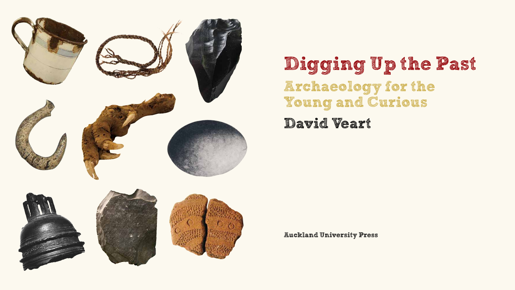

## **Digging Up the Past Archaeology for the Young and Curious David Veart**

**Auckland University Press**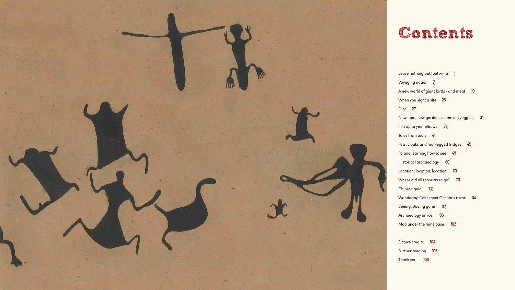



## **Contents**

Leave nothing but footprints 1 Voyaging nation 7 A new world of giant birds - and meat  $19$ When you sight a site 25 Dig! 27 New land, new gardens (same old veggies) 31 In it up to your elbows 37 Tales from tools 41 Pets, cloaks and four-legged fridges 45 Pā and learning how to see 49 Historical archaeology 60 Location, location, location 63 Where did all those trees go? 73 Chinese gold 77 Wandering Celts meet Occam's razor 34 Boeing, Boeing gone 87 Archaeology on ice 95 Moa under the mine base 102

Picture credits 104 Further reading 105 Thank you 106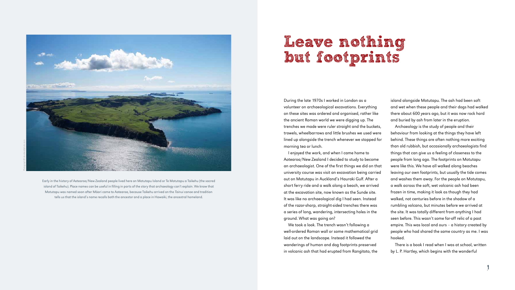During the late 1970s I worked in London as a volunteer on archaeological excavations. Everything on these sites was ordered and organised, rather like the ancient Roman world we were digging up. The trenches we made were ruler straight and the buckets, trowels, wheelbarrows and little brushes we used were lined up alongside the trench whenever we stopped for morning tea or lunch.

I enjoyed the work, and when I came home to Aotearoa/New Zealand I decided to study to become an archaeologist. One of the first things we did on that university course was visit an excavation being carried out on Motutapu in Auckland's Hauraki Gulf. After a short ferry ride and a walk along a beach, we arrived at the excavation site, now known as the Sunde site. It was like no archaeological dig I had seen. Instead of the razor-sharp, straight-sided trenches there was a series of long, wandering, intersecting holes in the ground. What was going on?

We took a look. The trench wasn't following a well-ordered Roman wall or some mathematical grid laid out on the landscape. Instead it followed the wanderings of human and dog footprints preserved in volcanic ash that had erupted from Rangitoto, the



island alongside Motutapu. The ash had been soft and wet when these people and their dogs had walked there about 600 years ago, but it was now rock hard and buried by ash from later in the eruption.

Archaeology is the study of people and their behaviour from looking at the things they have left behind. These things are often nothing more exciting than old rubbish, but occasionally archaeologists find things that can give us a feeling of closeness to the people from long ago. The footprints on Motutapu were like this. We have all walked along beaches leaving our own footprints, but usually the tide comes and washes them away. For the people on Motutapu, a walk across the soft, wet volcanic ash had been frozen in time, making it look as though they had walked, not centuries before in the shadow of a rumbling volcano, but minutes before we arrived at the site. It was totally different from anything I had seen before. This wasn't some far-off relic of a past empire. This was local and ours – a history created by people who had shared the same country as me. I was hooked.

There is a book I read when I was at school, written by L. P. Hartley, which begins with the wonderful

## **Leave nothing but footprints**

Early in the history of Aotearoa/New Zealand people lived here on Motutapu Island or Te Motutapu a Taikehu (the sacred island of Taikehu). Place names can be useful in filling in parts of the story that archaeology can't explain. We know that Motutapu was named soon after Māori came to Aotearoa, because Taikehu arrived on the *Tainui* canoe and tradition tells us that the island's name recalls both the ancestor and a place in Hawaiki, the ancestral homeland.